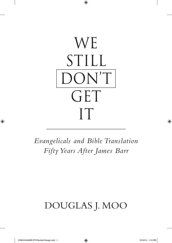

*Evangelicals and Bible Translation Fifty Years After James Barr*

## Douglas J. Moo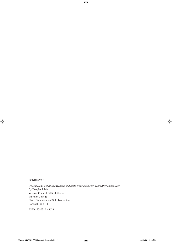## **ZONDERVAN**

*We Still Don't Get It: Evangelicals and Bible Translation Fifty Years After James Barr* By Douglas J. Moo Wessner Chair of Biblical Studies Wheaton College Chair, Committee on Bible Translation Copyright © 2014

ISBN: 9780310443629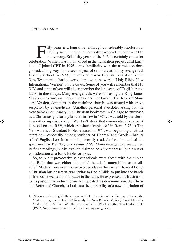Ifty years is a long time: although considerably shorter now<br>that my wife, Jenny, and I are within a decade of our own 50th<br>anniversary. Still: fifty years of the NIV is certainly cause for<br>pration. While I was not involve that my wife, Jenny, and I are within a decade of our own 50th anniversary. Still: fifty years of the NIV is certainly cause for celebration. While I was not involved in the translation project until fairly late— I joined CBT in 1996— my familiarity with the translation does go back a long way. In my second year of seminary at Trinity Evangelical Divinity School in 1973, I purchased a new English translation of the New Testament: a hard-cover volume with the words "Holy Bible: New International Version" on the cover. Some of you will remember that NT NIV; and some of you will also remember the landscape of English translation in those days. Many evangelicals were still using the King James Version— as was my fiancée Jenny and her family. The Revised Standard Version, dominant in the mainline church, was treated with grave suspicion by evangelicals. (Another personal anecdote: asking for the *New Bible Commentary* in a Christian bookstore in Chicago to purchase as a Christmas gift for my brother-in-law in 1973, I was told by the clerk, in a rather superior voice, "We don't stock that commentary because it is based on the RSV, which translates 'expiation' in Rom. 3:25.") The New American Standard Bible, released in 1971, was beginning to attract attention— especially among students of Hebrew and Greek— but its stilted English kept it from being broadly read. At the other end of the spectrum was Ken Taylor's *Living Bible*. Many evangelicals welcomed its fresh readings, but its explicit claim to be a "paraphrase" put it out of consideration as a basic Bible for most.

So, to put it provocatively, evangelicals were faced with the choice of a Bible that was either antiquated, heretical, unreadable, or unreliable.1 Matters were even worse two decades earlier, when Howard Long, a Christian businessman, was trying to find a Bible to put into the hands of friends he wanted to introduce to the faith. He expressed his frustration to his pastor, who in turn formally requested his denomination, the Christian Reformed Church, to look into the possibility of a new translation of

<sup>1.</sup> Of course, other English Bibles were available; deserving of mention especially are the Modern Language Bible (1959; formerly the New Berkeley Version), Good News for Modern Man (NT in 1966); the Jerusalem Bible (1966), and the New English Bible (1970). None, however, was widely used among evangelicals.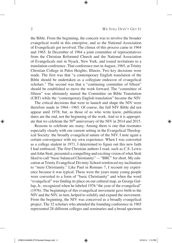the Bible. From the beginning, the concern was to involve the broader evangelical world in this enterprise, and so the National Association of Evangelicals got involved. The climax of this process came in 1964 and 1965. In December of 1964 a joint committee of representatives from the Christian Reformed Church and the National Association of Evangelicals met in Nyack, New York, and issued invitations to a translation conference. That conference met in August, 1965, at Trinity Christian College in Palos Heights, Illinois. Two key decisions were made. The first was that "a contemporary English translation of the Bible should be undertaken as a collegiate endeavor of evangelical scholars." The second was that a "continuing committee of fifteen" should be established to move the work forward. The "committee of fifteen" was ultimately named the Committee on Bible Translation (CBT) while the "contemporary English translation" became the NIV.

The critical decisions that were to launch and shape the NIV were therefore made in 1964–1965. Of course, the full NIV Bible did not appear until 1978; but, as those of us who write know, publication dates are the end, not the beginning of the work. And so it is appropriate that we celebrate the 50th anniversary of the NIV in 2014 and 2015.

Reasons to celebrate are many. Among them is one that resonates especially clearly with our current setting in the Evangelical Theological Society: the broadly evangelical nature of the NIV. I note again a certain convergence with my own experience. When I was converted as a college student in 1971, I determined to figure out this new faith I had embraced. The first Christian authors I read, such as C.S. Lewis and John Stott, presented a compelling and exciting vision of what Stott liked to call "basic balanced Christianity"— "BBC" for short. My education at Trinity Evangelical Divinity School reinforced my inclination to "mere Christianity." Like Paul in Romans 7, I recount my experience because it was typical. These were the years many young people were converted to a form of "basic Christianity" and when the word "evangelical" was finding its place on our cultural map, as George Gallup, Jr., recognized when he labeled 1976 "the year of the evangelical" (1976). The beginnings of this evangelical movement gave birth to the NIV and the NIV, in turn, helped to solidify and expand the movement. From the beginning, the NIV was conceived as a broadly evangelical project. The 32 scholars who attended the founding conference in 1965 represented 28 different colleges and seminaries and a broad spectrum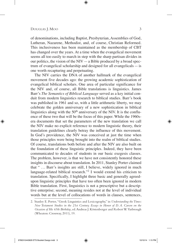of denominations, including Baptist, Presbyterian, Assemblies of God, Lutheran, Nazarene, Methodist, and, of course, Christian Reformed. This inclusiveness has been maintained as the membership of CBT has changed over the years. At a time when the evangelical movement seems all too easily to march in step with the sharp partisan divides in our politics, the vision of the  $NIV - a$  Bible produced by a broad spectrum of evangelical scholarship and designed for all evangelicals— is one worth recapturing and perpetuating.

The NIV carries the DNA of another hallmark of the evangelical movement five decades ago: the growing academic sophistication of evangelical biblical scholars. One area of particular significance for the NIV and, of course, all Bible translations is linguistics. James Barr's *The Semantics of Biblical Language* served as a key initial conduit from modern linguistics research to biblical studies. Barr's book was published in 1961 and so, with a little arithmetic liberty, we may celebrate the golden anniversary of a new sophistication in biblical linguistics along with the  $50<sup>th</sup>$  anniversary of the NIV. It is the confluence of these two that will be the focus of this paper. While the 1960sera documents that set the parameters of the new translation we call the NIV make no explicit reference to modern linguistic theory, their translation guidelines clearly betray the influence of this movement. In God's providence, the NIV was conceived at just the time when those principles were being brought into the realm of biblical studies. Of course, translations both before and after the NIV are also built on the foundation of these linguistic principles. Indeed, they have been communicated to decades of students in our basic exegesis classes. The problem, however, is that we have not consistently honored these insights in discourse about translation. In 2011, Stanley Porter claimed that " ... Barr's insights are still, I believe, widely ignored in much language-related biblical research."<sup>2</sup> I would extend his criticism to translation. Specifically, I highlight three basic and generally agreedupon linguistic principles that have too often been ignored in modern Bible translation. First, linguistics is not a prescriptive but a descriptive enterprise; second, meaning resides not at the level of individual words but at the level of collocations of words in clauses, sentences,

<sup>2.</sup> Stanley E. Porter, "Greek Linguistics and Lexicography," in *Understanding the Times: New Testament Studies in the 21st Century. Essays in Honor of D. A. Carson on the Occasion of His 65th Birthday*, ed. Andreas J. Köstenberger and Robert W. Yarbrough (Wheaton: Crossway, 2011), 19.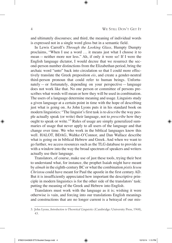and ultimately discourses; and third, the meaning of individual words is expressed not in a single word gloss but in a semantic field.

In Lewis Carroll's *Through the Looking Glass,* Humpty Dumpty proclaims, "When I use a word ... it means just what I choose it to mean— neither more nor less." Ah, if only it were so! If I were the English language dictator, I would decree that we resurrect the second-person number distinctions from the Elizabethan period, bring the archaic word "unto" back into circulation so that I could more effectively translate the Greek preposition *eis*, and create a gender-neutral third-person pronoun that could refer to human beings. Unfortunately— or fortunately, depending on your perspective— language does not work like that. No one person or committee of persons prescribes what words will mean or how they will be used in combination. The users of a language determine meaning and usage. Linguists study a given language at a certain point in time with the hope of describing just what is going on. As John Lyons puts it in his standard book on modern linguistics: "The linguist's first task is to *describe* the way people actually speak (or write) their language, not to *prescribe* how they ought to speak or write."<sup>3</sup> Rules of usage are simply generalized summaries of usage that never apply to all users of the language and that change over time. We who work in the biblical languages know this well. HALOT, BDAG, Waltke-O'Connor, and Dan Wallace describe what is going on in biblical Hebrew and Greek. And when we want to go further, we access resources such as the TLG database to provide us with a window into the way the broad spectrum of speakers and writers actually use their language.

Translators, of course, make use of just these tools, trying their best to understand what, for instance, the prophet Isaiah might have meant by *almah* in the eighth-century BC or what the combination *pistis Iesou Christou* could have meant for Paul the apostle in the first century AD. But it is insufficiently appreciated how important the descriptive principle in modern linguistics is for the other side of the translators' task: putting the meaning of the Greek and Hebrew into English.

Translators must work with the language as it is; wishing it were otherwise is vain, and forcing into our translations English meanings and constructions that are no longer current is a betrayal of our mis-

<sup>3.</sup> John Lyons, *Introduction to Theoretical Linguistics* (Cambridge: University Press, 1968), 43.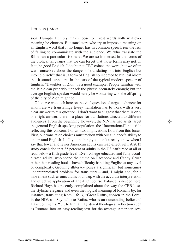sion. Humpty Dumpty may choose to invest words with whatever meaning he chooses. But translators who try to impose a meaning on an English word that it no longer has in common speech run the risk of failing to communicate with the audience. We who translate the Bible run a particular risk here. We are so immersed in the forms of the biblical languages that we can forget that those forms may not, in fact, be good English. I doubt that CBT coined the word, but we often warn ourselves about the danger of translating not into English but into "biblisch": that is, a form of English so indebted to biblical idiom that it sounds unnatural in the ears of the typical modern speaker of English. "Daughter of Zion" is a good example. People familiar with the Bible can probably unpack the phrase accurately enough; but the average English-speaker would surely be wondering who the offspring of the city of Zion might be.

Of course we touch here on the vital question of target audience: for whom are we translating? Every translation has to work with a very clear answer to this question. I don't want to suggest that there is only one right answer: there is a place for translations directed to different audiences. From the beginning, however, the NIV has had as its target the general English-speaking population, the "International" in its title reflecting this concern. For us, two implications flow from this focus. First, our translation choices must reckon with our audience's ability to understand English. I tell you nothing you don't already know when I say that fewer and fewer American adults can read effectively. A 2013 study concluded that 35 percent of adults in the US can't read at all or read below a fifth grade level. Even college-educated and fully acculturated adults, who spend their time on Facebook and Candy Crush rather than reading books, have difficulty handling English at any level of complexity. Growing illiteracy poses a significant but sometimes underappreciated problem for translators— and, I might add, for a movement such as ours that is bound up with the accurate interpretation and effective application of a text. Of course, balance is needed here. Richard Hays has recently complained about the way the CEB loses the stylistic elegance and even theological meaning of Romans by, for instance, translating Rom. 16:13, "Greet Rufus, chosen in the Lord" in the NIV, as "Say hello to Rufus, who is an outstanding believer." Hays comments, " ... to turn a magisterial theological reflection such as Romans into an easy-reading text for the average American sev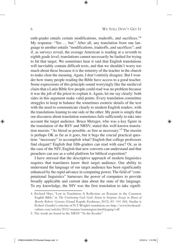enth-grader entails certain modifications, tradeoffs, and sacrifices."4 My response: "Yes ... but." After all, any translation from one language to another entails "modifications, tradeoffs, and sacrifices"; and if, as surveys reveal, the average American is reading at a seventh to eighth grade level, translations cannot necessarily be faulted for trying to hit that target. We sometimes hear it said that English translations will inevitably contain difficult texts, and that we shouldn't worry too much about these because it is the ministry of the teacher in the church to make clear the meaning. Again, I don't entirely disagree. But I wonder how many people reading the Bible have access to a good teacher. Some expressions of this principle sound worryingly like the medieval claim that a Latin Bible few people could read was no problem because it was the job of the priest to explain it. Again, let me say clearly: both sides in this argument make valid points. Every translation committee struggles to keep in balance the sometimes esoteric details of the text with the need to communicate clearly to modern English readers, with the translations leaning to one side or the other. My point is simply that our discourse about translation sometimes fails sufficiently to take into account the target audience. Bruce Metzger, who was a key figure in the translation of the RSV and NRSV, stated this well-known translation maxim: "As literal as possible, as free as necessary."5 The maxim is perhaps OK as far as it goes, but it begs the crucial practical question: "necessary" to accomplish what? English that college professors find elegant? English that fifth-graders can read with ease? Or, as in the case of the NIV, English that new converts can understand and that preachers can use as a solid platform for biblical exposition?

I have stressed that the descriptive approach of modern linguistics requires that translators know their target audience. Our ability to understand the language of our target audience has been significantly enhanced by the rapid advance in computing power. The field of "computational linguistics" harnesses the power of computers to provide broadly applicable and current data about the state of the language. To my knowledge, the NIV was the first translation to take signifi-

<sup>4.</sup> Richard Hays, "Lost in Translation: A Reflection on Romans in the Common English Bible," in *The Unrelenting God: God's Action in Scripture. Essays in Honor of Beverly Roberts Gaventa* (Grand Rapids: Eerdmans, 2013), 83 –101 (84). Similar is Robert Gundry's criticism of N. T. Wright's translation; see http://www.booksandculture.com/articles/2012/mayjun/tomstargum.html?paging=off.

<sup>5.</sup> The words are found in the NRSV "To the Reader."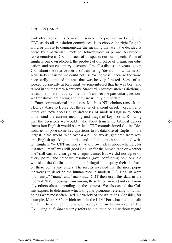cant advantage of this powerful resource. The problem we face on the CBT, as do all translation committees, is to choose the right English word or phrase to communicate the meaning that we have decided is borne by a particular Greek or Hebrew word or phrase. As broadly representative as CBT is, each of us speaks our own special form of English: our own idiolect, the product of our place of origin, our education, and our customary discourse. I recall a discussion years ago on CBT about the relative merits of translating "desert" or "wilderness." Ken Barker insisted we could not use "wilderness" because the word necessarily connoted an area that was heavily forested. Some of us looked quizzically at Ken until we remembered that he was born and raised in southeastern Kentucky. Standard resources such as dictionaries can help here, but they often don't answer the particular questions we translators are asking and they are usually out of date.

Enter computational linguistics. Much as NT scholars ransack the TLG database to figure out the sense of ancient Greek words, translators can now access huge databases of modern English to better understand the current meaning and usage of key words. Knowing that the decisions we would make about translating biblical gender forms into English would be critical, CBT commissioned Collins Dictionaries to pose some key questions to its database of English— the largest in the world, with over 4.4 billion words, gathered from several English-speaking countries and including both spoken and written English. We CBT members had our own ideas about whether, for instance, "man" was still good English for the human race or whether "he" still carried clear generic significance. But we did not agree on every point; and standard resources gave conflicting opinions. So we asked the Collins computational linguists to query their database on these points and others. The results revealed that the most popular words to describe the human race in modern U.S. English were "humanity," "man," and "mankind." CBT then used this data in the updated NIV, choosing from among these three words (and occasionally others also) depending on the context. We also asked the Collins experts to determine which singular pronouns referring to human beings were most often used in a variety of constructions. Consider, for example, Mark 8:36a, which reads in the KJV "For what shall it profit a man, if he shall gain the whole world, and lose his own soul?" The Gk., using *anthrôpos* clearly refers to a human being without regard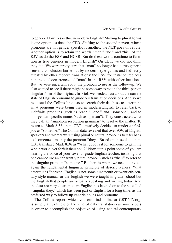to gender. How to say that in modern English? Moving to plural forms is one option, as does the CEB. Shifting to the second person, whose pronouns are not gender specific is another: the NLT goes this route. Another option is to retain the words "man," "he," and "his" of the KJV, as do the ESV and HCSB. But do these words continue to function as true generics in modern English? On CBT, we did not think they did. We were pretty sure that "man" no longer had a true generic sense, a conclusion borne out by modern style guides and indirectly attested by other modern translations: the ESV, for instance, replaces hundreds of occurrences of "man" in the RSV with other locutions. But we were uncertain about the pronoun to use as the follow-up. We also wanted to see if there might be some way to retain the third-person singular form of the original. In brief, we needed data about the current state of English pronouns to guide our translation decisions. And so we requested the Collins linguists to search their database to determine what pronouns were being used in modern English to refer back to indefinite pronouns (such as "each," "one," and "someone") and to non-gender specific nouns (such as "person"). They constructed what they call an "anaphora resolution grammar" to resolve the matter. To return to Mark 8:36, then, CBT tentatively decided to render *anthrôpos* as "someone." The Collins data revealed that over 90% of English speakers and writers were using plural or neutral pronouns to refer back to "someone": mainly the pronoun "they." Based on these data, then, CBT translated Mark 8:36 as "What good is it for someone to gain the whole world, yet forfeit their soul?" Now at this point some of you are hearing the voice of your seventh-grade English teacher, insisting that one cannot use an apparently plural pronoun such as "their" to refer to the singular pronoun "someone." But here is where we need to invoke again the fundamental linguistic principle of descriptiveness. What determines "correct" English is not some nineteenth or twentieth-century style manual or the English we were taught in grade school but the English that people are actually speaking and writing today. And the data are very clear: modern English has latched on to the so-called "singular they," which has been part of English for a long time, as the preferred way to follow up generic nouns and pronouns.

The Collins report, which you can find online at CBT-NIV.org, is simply an example of the kind of data translators can now access in order to accomplish the objective of using natural contemporary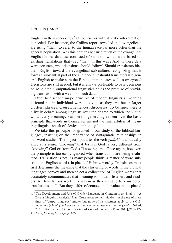English in their renderings. $6$  Of course, as with all data, interpretation is needed. For instance, the Collins report revealed that evangelicals are using "man" to refer to the human race far more often than the general population. Was this perhaps because much of the evangelical English in the database consisted of sermons, which were based on existing translations that used "man" in this way? And, if these data were accurate, what decisions should follow? Should translators bias their English toward the evangelical sub-culture, recognizing that it forms a substantial part of the audience? Or should translators use general English to make sure the Bible communicates well to everyone? Decisions are still needed: but it is always preferable to base decisions on solid data. Computational linguistics holds the promise of providing translators with a wealth of such data.

I turn to a second major principle of modern linguistics: meaning is found not in individual words, as vital as they are, but in larger clusters: phrases, clauses, sentences, discourses. To be sure, there is a lively debate among linguists over the degree to which individual words carry meaning. But there is general agreement over the basic principle that words in themselves are not the final arbiters of meaning; linguists speak of "lexical ambiguity."7

We take this principle for granted in our study of the biblical languages, insisting on the importance of syntagmatic relationships in our word studies. The object I put after the verb *ginôskô* dramatically affects its sense: "knowing" that Jesus is God is very different from "knowing" God or from God's "knowing" me. Once again, however, the principle is too easily ignored when translations are being evaluated. Translation is not, as many people think, a matter of word substitution: English word x in place of Hebrew word y. Translators must first determine the meaning that the clustering of words in the biblical languages convey and then select a collocation of English words that accurately communicates that meaning to modern listeners and readers. All translations work this way— as they must to be considered translations at all. But they differ, of course, on the value that is placed

<sup>6.</sup> "The Development and Use of Gender Language in Contemporary English— A Corpus Linguistic Analysis." Alan Cruse notes some limitations in the use of these kinds of "corpus linguistic" studies, but none of his strictures apply to the Collins report (*Meaning in Language: An Introduction to Semantics and Pragmatics* [3rd ed; Oxford Textbooks in Linguistics. Oxford: Oxford University Press, 2011], 216 –17).

<sup>7.</sup> Cruse, *Meaning in Language*, 100.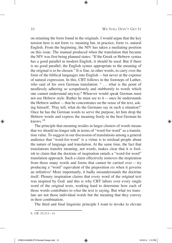on retaining the form found in the originals. I would argue that the key tension here is not form vs. meaning but, in practice, form vs. natural English. From the beginning, the NIV has taken a mediating position on this issue. The manual produced when the translation that became the NIV was first being planned states: "If the Greek or Hebrew syntax has a good parallel in modern English, it should be used. But if there is no good parallel, the English syntax appropriate to the meaning of the original is to be chosen." It is fine, in other words, to carry over the form of the biblical languages into English— but never at the expense of natural expression. In this, CBT follows in the footsteps of Luther, who said of his own German translation: " ... what is the point of needlessly adhering so scrupulously and stubbornly to words which one cannot understand anyway? Whoever would speak German must not use Hebrew style. Rather he must see to it— once he understands the Hebrew author— that he concentrates on the sense of the text, asking himself, 'Pray tell, what do the Germans say in such a situation?' Once he has the German words to serve the purpose, let him drop the Hebrew words and express the meaning freely in the best German he knows."<sup>8</sup>

The principle that meaning resides in larger clusters of words means that we should no longer talk in terms of "word-for-word" as a translation value. To suggest in our discussion of translations among a general audience that "word-for-word" is a virtue is to mislead people about the nature of language and translation. At the same time, the fact that translations transfer meaning, not words, makes clear that it is foolish to claim that the doctrine of inspiration entails a "word-for-word" translation approach. Such a claim effectively removes the inspiration from those many words and forms that cannot be carried over— try producing a "word" equivalent of the preposition *eis* when it governs an infinitive! More importantly, it badly misunderstands the doctrine itself. Plenary inspiration claims that every word of the original text was inspired by God: and this is why CBT labors over every single word of the original texts, working hard to determine how each of those words contributes to *what* the text is saying. But what we translate are not those individual words but the meaning that they convey in their combination.

The third and final linguistic principle I want to invoke to elevate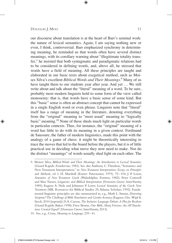our discourse about translation is at the heart of Barr's seminal work: the nature of lexical semantics. Again, I am saying nothing new or even, I think, controversial. Barr emphasized synchrony in determining meaning, he reminded us that words often have several distinct meanings, with its corollary warning about "illegitimate totality transfer," he insisted that both syntagmatic and paradigmatic relations had to be considered in defining words, and, above all, he stressed that words have a field of meaning. All these principles are taught and elaborated in our basic texts about exegetical method, such as Moises Silva's excellent *Biblical Words and Their Meanings*. 9 Many of us have taught them to our students year after year. And yet ... We still write about and talk about the "literal" meaning of a word. To be sure, probably most modern linguists hold to some form of the view called monosemy: that is, that words have a basic sense of some kind. But this "basic" sense is often an abstract concept that cannot be expressed in a single English word or even phrase. Linguists note that "literal" itself has a range of meaning in the literature, denoting everything from the "original" meaning to "most usual" meaning to "logically basic" meaning.10 None of these sheds much light on particular words in particular contexts. Thus, for instance, the "original" meaning of a word has little to do with its meaning in a given context. Ferdinand de Saussure, the father of modern linguistics, made this point with the analogy of a game of chess: it might be theoretically interesting to trace the moves that led to the board before the players, but it is of little practical use in deciding what move they now need to make. Nor do the distinct "meanings" of words usually shed light on each other. The

<sup>9.</sup> Moises Silva, *Biblical Words and Their Meanings: An Introduction to Lexical Semantics* (Grand Rapids: Zondervan, 1983). See also Anthony C. Thiselton, "Semantics and New Testament Interpretation," in *New Testament Interpretation: Essays on Principles and Methods*, ed. I. H. Marshall (Exeter: Paternoster, 1979), 75 – 104; J. P. Louw, *Semantics of New Testament Greek* (Philadelphia: Fortress, 1982); Peter Cotterell and Max Turner, *Linguistics and Biblical Interpretation* (Downers Grove: InterVarsity, 1989); Eugene A. Nida and Johannes P. Louw, *Lexical Semantics of the Greek New Testament* (SBL Resources for Biblical Studies 25; Atlanta: Scholars, 1992). Fundamental linguistic principles are also summarized in, e.g., Mark L. Strauss, *Distorting Scripture? The Challenge of Bible Translation and Gender Accuracy* (Eugene, Ore.: Wipf & Stock, 2010 [reprint]); D. A. Carson, *The Inclusive Language Debate: A Plea for Realism* (Grand Rapids: Baker, 1998); Dave Brunn, *One Bible, Many Versions: Are All Translations Created Equal?* (Downers Grove: InterVarsity, 2013).

<sup>10.</sup> See, e.g., Cruse, *Meaning in Language*, 239 – 41.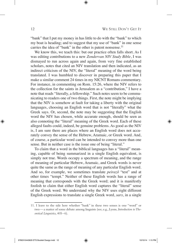"bank" that I put my money in has little to do with the "bank" to which my boat is heading; and to suggest that my use of "bank" in one sense carries the idea of "bank" in the other is patent nonsense.<sup>11</sup>

We know this, we teach this: but our practice often falls short. As I was editing contributions to a new *Zondervan NIV Study Bible*, I was dismayed to run across again and again, from very fine established scholars, notes that cited an NIV translation and then indicated, as an indirect criticism of the NIV, the "literal" meaning of the word being translated. I was humbled to discover in preparing this paper that I make a similar comment 24 times in my NICNT Romans commentary. For instance, in commenting on Rom. 15:26, where the NIV refers to the collection for the saints in Jerusalem as a "contribution," I have a note that reads "literally, a fellowship." Such notes seem to be communicating to readers one of two things. First, the note might be implying that the NIV is somehow at fault for taking a liberty with the original languages, choosing an English word that is not "literally" what the Greek says. Or, second, the note may be suggesting that the English word the NIV has chosen, while accurate enough, should be seen as also connoting the "literal" meaning of the Greek word. Each of these alleged faults could, indeed, be genuine problems. As good as the NIV is, I am sure there are places where an English word does not accurately convey the sense of the Hebrew, Aramaic, or Greek word. And, of course, a particular word can be intended to convey more than one sense. But in neither case is the issue one of being "literal."

To claim that a word in the biblical languages has a "literal" meaning, capable of being summarized in a single English equivalent, is simply not true. Words occupy a spectrum of meaning, and the range of meaning of particular Hebrew, Aramaic, and Greek words is never quite the same as the range of meaning of any particular English word. And so, for example, we sometimes translate *peirazô* "test" and at other times "tempt." Neither of these English words has a range of meaning that corresponds with the Greek word; and it is manifestly foolish to claim that either English word captures the "literal" sense of the Greek word. We understand why the NIV uses eight different English expressions to translate a single Greek word, *sarx*, in a single

<sup>11.</sup> I leave to the side here whether "bank" in these two senses is one "word" or two— a matter of some debate among linguists (see, e.g., Lyons, *Introduction to Theoretical Linguistics,* 405 –6).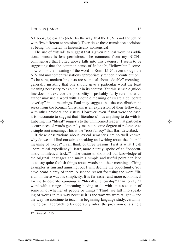NT book, Colossians (note, by the way, that the ESV is not far behind with five different expressions). To criticize these translation decisions as being "not literal" is linguistically nonsensical.

The use of "literal" to suggest that a given biblical word has additional senses is less pernicious. The comment from my NICNT commentary that I cited above falls into this category: I seem to be suggesting that the common sense of *koinônia*, "fellowship," somehow colors the meaning of the word in Rom. 15:26, even though the NIV and most other translations appropriately render it "contribution." To be sure, modern linguists are skeptical about "double" meanings, generally insisting that one should give a particular word the least meaning necessary to explain it in its context. Yet this sensible guideline does not exclude the possibility— probably fairly rare— that an author may use a word with a double meaning or create a deliberate "overlap" in its meanings. Paul may suggest that the contribution he seeks from the Roman Christians is an expression of their fellowship with other brothers and sisters. However, even if that were the case, it is inaccurate to suggest that "literalness" has anything to do with it. Labeling this "literal" suggests to the uninformed reader that particular occurrences of words generally maintain some degree of reference to a single root meaning. This is the "root fallacy" that Barr described.

If these observations about lexical semantics are so well known, why do we still find ourselves speaking and writing about the "literal" meaning of words? I can think of three reasons. First is what I call "homiletical expediency"; Barr, more bluntly, spoke of an "opportunistic homiletical trick."12 The desire to show off our knowledge of the original languages and make a simple and useful point can lead us to say quite foolish things about words and their meanings. Citing examples is fun and amusing, but I will decline the opportunity. You have heard plenty of them. A second reason for using the word "literal" in these ways is simplicity. It is far easier and more economical for me to describe *koinônia* as "literally, fellowship" than to say "a word with a range of meaning having to do with an association of some kind, whether of people or things." Third, we fall into speaking of words in this way because it is the way we were taught— and the way we continue to teach. In beginning language study, certainly, the "gloss" approach to lexicography rules: the provision of a single

<sup>12.</sup> *Semantics,* 113.